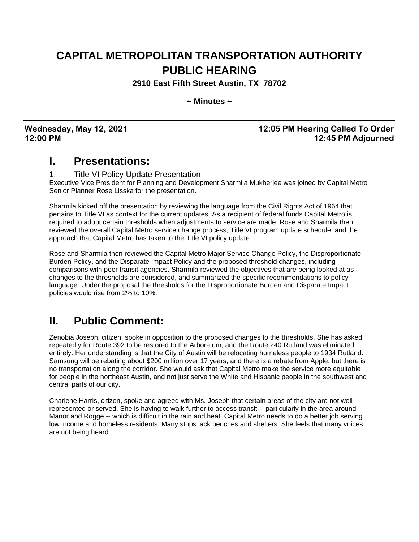## **CAPITAL METROPOLITAN TRANSPORTATION AUTHORITY PUBLIC HEARING**

**2910 East Fifth Street Austin, TX 78702**

**~ Minutes ~**

| Wednesday, May 12, 2021 |  |
|-------------------------|--|
| 12:00 PM                |  |

#### **Wednesday, May 12, 2021 12:05 PM Hearing Called To Order 12:00 PM 12:45 PM Adjourned**

### **I. Presentations:**

#### 1. Title VI Policy Update Presentation

Executive Vice President for Planning and Development Sharmila Mukherjee was joined by Capital Metro Senior Planner Rose Lisska for the presentation.

Sharmila kicked off the presentation by reviewing the language from the Civil Rights Act of 1964 that pertains to Title VI as context for the current updates. As a recipient of federal funds Capital Metro is required to adopt certain thresholds when adjustments to service are made. Rose and Sharmila then reviewed the overall Capital Metro service change process, Title VI program update schedule, and the approach that Capital Metro has taken to the Title VI policy update.

Rose and Sharmila then reviewed the Capital Metro Major Service Change Policy, the Disproportionate Burden Policy, and the Disparate Impact Policy.and the proposed threshold changes, including comparisons with peer transit agencies. Sharmila reviewed the objectives that are being looked at as changes to the thresholds are considered, and summarized the specific recommendations to policy language. Under the proposal the thresholds for the Disproportionate Burden and Disparate Impact policies would rise from 2% to 10%.

### **II. Public Comment:**

Zenobia Joseph, citizen, spoke in opposition to the proposed changes to the thresholds. She has asked repeatedly for Route 392 to be restored to the Arboretum, and the Route 240 Rutland was eliminated entirely. Her understanding is that the City of Austin will be relocating homeless people to 1934 Rutland. Samsung will be rebating about \$200 million over 17 years, and there is a rebate from Apple, but there is no transportation along the corridor. She would ask that Capital Metro make the service more equitable for people in the northeast Austin, and not just serve the White and Hispanic people in the southwest and central parts of our city.

Charlene Harris, citizen, spoke and agreed with Ms. Joseph that certain areas of the city are not well represented or served. She is having to walk further to access transit -- particularly in the area around Manor and Rogge -- which is difficult in the rain and heat. Capital Metro needs to do a better job serving low income and homeless residents. Many stops lack benches and shelters. She feels that many voices are not being heard.